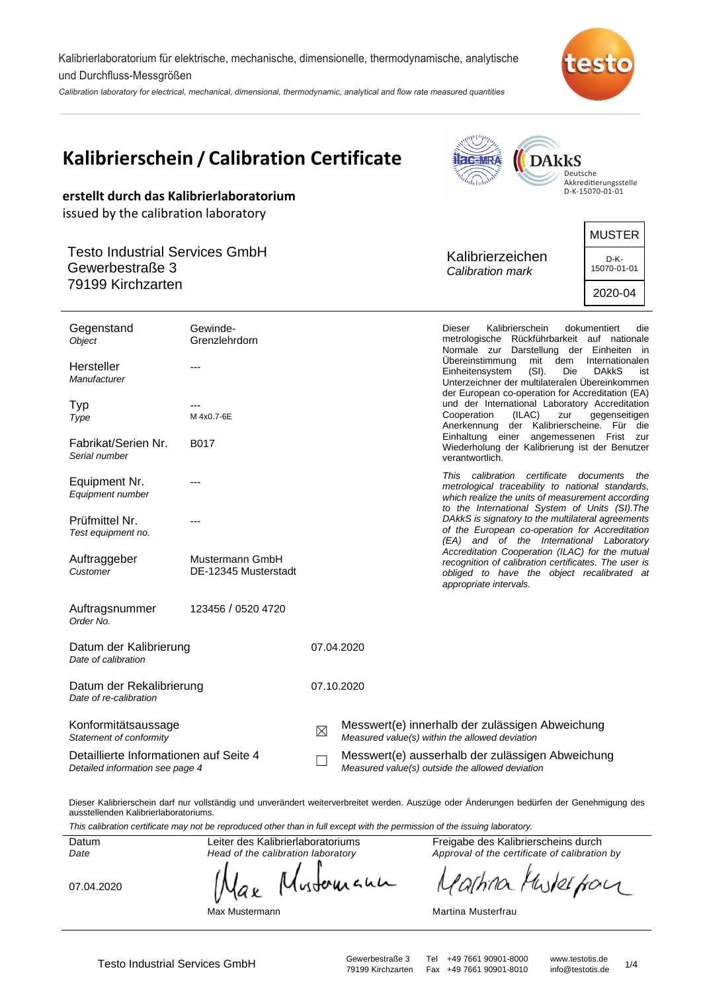Kalibrierlaboratorium für elektrische, mechanische, dimensionelle, thermodynamische, analytische und Durchfluss-Messgrößen

Calibration laboratory for electrical, mechanical, dimensional, thermodynamic, analytical and flow rate measured quantities



|                                                                                  | Kalibrierschein / Calibration Certificate | <b>ac-MRA</b><br><b>DARKS</b><br>Deutsche<br>$n_{\rm thurb}$<br>Akkreditierungsstelle |                                                                                                     |                                      |                                                                                                                                                                                                    |                                         |
|----------------------------------------------------------------------------------|-------------------------------------------|---------------------------------------------------------------------------------------|-----------------------------------------------------------------------------------------------------|--------------------------------------|----------------------------------------------------------------------------------------------------------------------------------------------------------------------------------------------------|-----------------------------------------|
| erstellt durch das Kalibrierlaboratorium<br>issued by the calibration laboratory |                                           |                                                                                       |                                                                                                     |                                      |                                                                                                                                                                                                    | D-K-15070-01-01                         |
|                                                                                  |                                           |                                                                                       |                                                                                                     |                                      |                                                                                                                                                                                                    | <b>MUSTER</b>                           |
| <b>Testo Industrial Services GmbH</b><br>Gewerbestraße 3<br>79199 Kirchzarten    |                                           |                                                                                       |                                                                                                     | Kalibrierzeichen<br>Calibration mark |                                                                                                                                                                                                    | D-K-<br>15070-01-01                     |
|                                                                                  |                                           |                                                                                       |                                                                                                     |                                      |                                                                                                                                                                                                    | 2020-04                                 |
| Gegenstand<br>Object                                                             | Gewinde-<br>Grenzlehrdorn                 |                                                                                       |                                                                                                     | <b>Dieser</b>                        | Kalibrierschein<br>metrologische Rückführbarkeit auf nationale<br>Normale zur Darstellung der Einheiten in                                                                                         | dokumentiert<br>die                     |
| Hersteller<br>Manufacturer                                                       | ---                                       |                                                                                       |                                                                                                     | Übereinstimmung<br>Einheitensystem   | mit<br>dem<br>(SI).<br>Die<br>Unterzeichner der multilateralen Übereinkommen<br>der European co-operation for Accreditation (EA)                                                                   | Internationalen<br><b>DAkkS</b><br>ist  |
| Typ<br>Type                                                                      | M 4x0.7-6E                                |                                                                                       |                                                                                                     | Cooperation<br>Einhaltung einer      | und der International Laboratory Accreditation<br>(ILAC)<br>zur<br>Anerkennung der Kalibrierscheine. Für die                                                                                       | gegenseitigen<br>angemessenen Frist zur |
| Fabrikat/Serien Nr.<br>Serial number                                             | B017                                      |                                                                                       |                                                                                                     | verantwortlich.                      | Wiederholung der Kalibrierung ist der Benutzer                                                                                                                                                     |                                         |
| Equipment Nr.<br>Equipment number                                                |                                           |                                                                                       |                                                                                                     | This calibration certificate         | metrological traceability to national standards,<br>which realize the units of measurement according<br>to the International System of Units (SI). The                                             | documents<br>the                        |
| Prüfmittel Nr.<br>Test equipment no.                                             |                                           |                                                                                       |                                                                                                     |                                      | DAkkS is signatory to the multilateral agreements<br>of the European co-operation for Accreditation<br>(EA) and of the International Laboratory<br>Accreditation Cooperation (ILAC) for the mutual |                                         |
| Auftraggeber<br>Customer                                                         | Mustermann GmbH<br>DE-12345 Musterstadt   |                                                                                       |                                                                                                     | appropriate intervals.               | recognition of calibration certificates. The user is<br>obliged to have the object recalibrated at                                                                                                 |                                         |
| Auftragsnummer<br>Order No.                                                      | 123456 / 0520 4720                        |                                                                                       |                                                                                                     |                                      |                                                                                                                                                                                                    |                                         |
| Datum der Kalibrierung<br>Date of calibration                                    |                                           |                                                                                       | 07.04.2020                                                                                          |                                      |                                                                                                                                                                                                    |                                         |
| Datum der Rekalibrierung<br>Date of re-calibration                               |                                           |                                                                                       | 07.10.2020                                                                                          |                                      |                                                                                                                                                                                                    |                                         |
| Konformitätsaussage<br>Statement of conformity                                   |                                           | $\boxtimes$                                                                           | Messwert(e) innerhalb der zulässigen Abweichung<br>Measured value(s) within the allowed deviation   |                                      |                                                                                                                                                                                                    |                                         |
| Detaillierte Informationen auf Seite 4<br>Detailed information see page 4        |                                           |                                                                                       | Messwert(e) ausserhalb der zulässigen Abweichung<br>Measured value(s) outside the allowed deviation |                                      |                                                                                                                                                                                                    |                                         |

Dieser Kalibrierschein darf nur vollständig und unverändert weiterverbreitet werden. Auszüge oder Änderungen bedürfen der Genehmigung des ausstellenden Kalibrierlaboratoriums.

This calibration certificate may not be reproduced other than in full except with the permission of the issuing laboratory.

Datum Date

07.04.2020

Head of the calibration laboratory Mustoruana ax

Leiter des Kalibrierlaboratoriums

Max Mustermann

Freigabe des Kalibrierscheins durch Approval of the certificate of calibration by

arhina Muskerfora

Martina Musterfrau

 Testo Industrial Services GmbH Gewerbestraße 3 Tel +49 7661 90901-8000 www.testotis.de 1/<sup>4</sup> 79199 Kirchzarten Fax +49 7661 90901-8010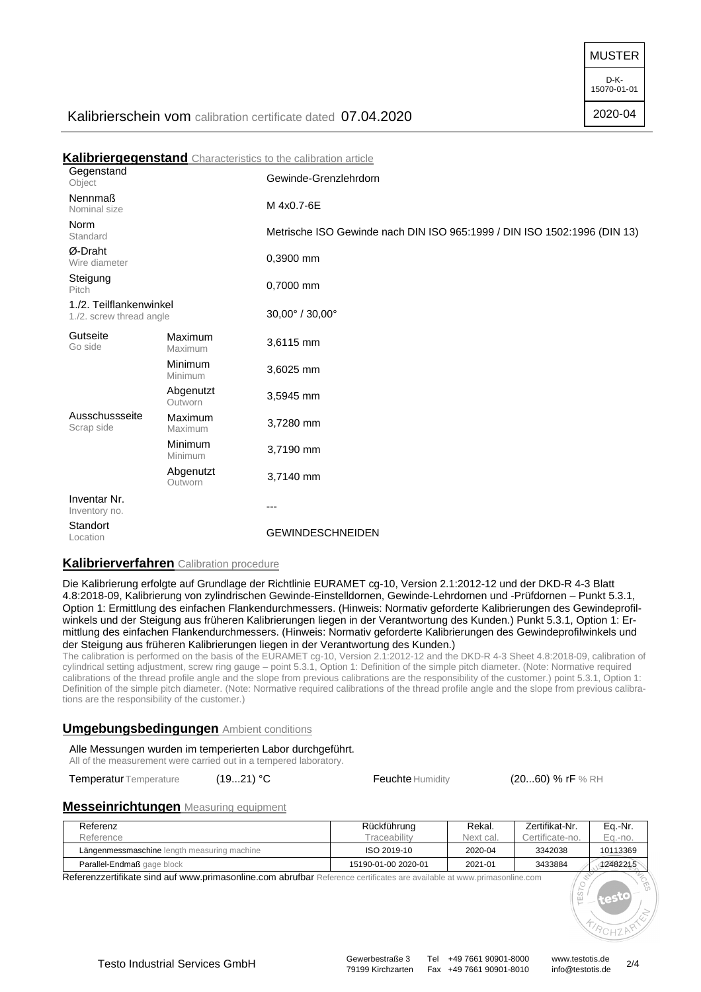MUSTER

D-K-15070-01-01

2020-04

# Kalibrierschein vom calibration certificate dated 07.04.2020

**Kalibriergegenstand** Characteristics to the calibration article **Gegenstand** Object Chiect Chiect Nennmaß Nominal size **M** 4x0.7-6E Norm Standard Metrische ISO Gewinde nach DIN ISO 965:1999 / DIN ISO 1502:1996 (DIN 13) Ø-Draht Wire diameter 0,3900 mm Steigung Pitch 0,7000 mm 1./2. Teilflankenwinkel 1./2. screw thread angle 30,00° / 30,00° Gutseite Go side Maximum  $Maxi$ mum  $3,6115$  mm Minimum  $M$ inimum 3,6025 mm Abgenutzt Abgenul 21<br>Outworn 3,5945 mm Ausschussseite Scrap side Maximum Maximum 3,7280 mm **Minimum**<br>Minimum 3,7190 mm Abgenutzt<br>Outworn 3,7140 mm Inventar Nr. Inventory no. Standort<br>Location **GEWINDESCHNEIDEN** 

## **Kalibrierverfahren** Calibration procedure

Die Kalibrierung erfolgte auf Grundlage der Richtlinie EURAMET cg-10, Version 2.1:2012-12 und der DKD-R 4-3 Blatt 4.8:2018-09, Kalibrierung von zylindrischen Gewinde-Einstelldornen, Gewinde-Lehrdornen und -Prüfdornen – Punkt 5.3.1, Option 1: Ermittlung des einfachen Flankendurchmessers. (Hinweis: Normativ geforderte Kalibrierungen des Gewindeprofilwinkels und der Steigung aus früheren Kalibrierungen liegen in der Verantwortung des Kunden.) Punkt 5.3.1, Option 1: Ermittlung des einfachen Flankendurchmessers. (Hinweis: Normativ geforderte Kalibrierungen des Gewindeprofilwinkels und der Steigung aus früheren Kalibrierungen liegen in der Verantwortung des Kunden.)

The calibration is performed on the basis of the EURAMET cg-10, Version 2.1:2012-12 and the DKD-R 4-3 Sheet 4.8:2018-09, calibration of cylindrical setting adjustment, screw ring gauge – point 5.3.1, Option 1: Definition of the simple pitch diameter. (Note: Normative required calibrations of the thread profile angle and the slope from previous calibrations are the responsibility of the customer.) point 5.3.1, Option 1: Definition of the simple pitch diameter. (Note: Normative required calibrations of the thread profile angle and the slope from previous calibrations are the responsibility of the customer.)

### **Umgebungsbedingungen** Ambient conditions

Alle Messungen wurden im temperierten Labor durchgeführt. All of the measurement were carried out in a tempered laboratory.

Temperatur Temperature (19...21) °C Feuchte Humidity (20...60) % rF % RH

### **Messeinrichtungen** Measuring equipment

| Referenz                                    | Rückführung         | Rekal.    | Zertifikat-Nr.  | Ea.-Nr.  |
|---------------------------------------------|---------------------|-----------|-----------------|----------|
| Reference                                   | <b>Fraceabilitv</b> | Next cal. | Certificate-no. | Ea.-no.  |
| Längenmessmaschine length measuring machine | ISO 2019-10         | 2020-04   | 3342038         | 10113369 |
| Parallel-Endmaß gage block                  | 15190-01-00 2020-01 | 2021-01   | 3433884         | 12482215 |

Referenzzertifikate sind auf www.primasonline.com abrufbar Reference certificates are available at www.primasonline.com

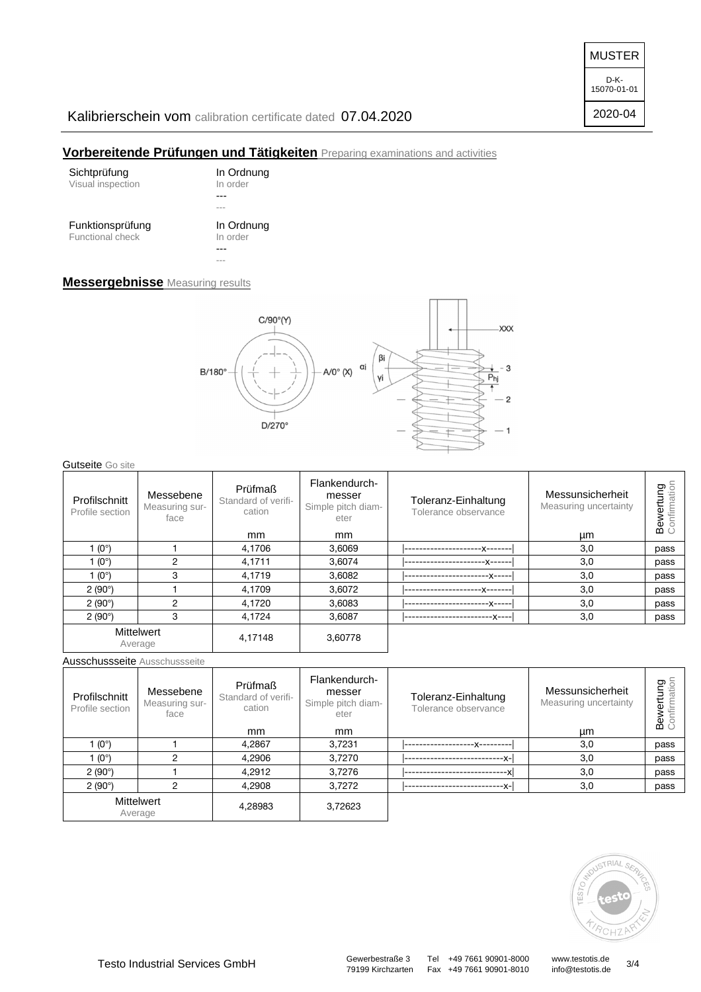MUSTER

D-K-15070-01-01

# 2020-04

# Kalibrierschein vom calibration certificate dated 07.04.2020

## **Vorbereitende Prüfungen und Tätigkeiten** Preparing examinations and activities

| Sichtprüfung            | In Ordnung |
|-------------------------|------------|
| Visual inspection       | In order   |
|                         |            |
| Funktionsprüfung        | In Ordnung |
| <b>Functional check</b> | In order   |
|                         | ---        |

## **Messergebnisse** Measuring results



**Gutseite** Go site

| Profilschnitt<br>Profile section | Messebene<br>Measuring sur-<br>face | Prüfmaß<br>Standard of verifi-<br>cation<br><sub>mm</sub> | Flankendurch-<br>messer<br>Simple pitch diam-<br>eter<br><sub>mm</sub> | Toleranz-Einhaltung<br>Tolerance observance | Messunsicherheit<br>Measuring uncertainty<br>μm | တ $\frac{5}{6}$<br>Š<br>등<br>Bew |
|----------------------------------|-------------------------------------|-----------------------------------------------------------|------------------------------------------------------------------------|---------------------------------------------|-------------------------------------------------|----------------------------------|
| 1 $(0^{\circ})$                  |                                     | 4,1706                                                    | 3,6069                                                                 |                                             | 3,0                                             | pass                             |
| 1 $(0^{\circ})$                  | 2                                   | 4,1711                                                    | 3.6074                                                                 | -x------                                    | 3,0                                             | pass                             |
| 1 $(0^{\circ})$                  | 3                                   | 4.1719                                                    | 3.6082                                                                 | -X-----                                     | 3,0                                             | pass                             |
| 2(90°)                           |                                     | 4.1709                                                    | 3,6072                                                                 |                                             | 3,0                                             | pass                             |
| 2(90°)                           | 2                                   | 4,1720                                                    | 3,6083                                                                 | -X-----                                     | 3,0                                             | pass                             |
| 2(90°)                           | 3                                   | 4,1724                                                    | 3,6087                                                                 | -x----                                      | 3,0                                             | pass                             |
|                                  | <b>Mittelwert</b><br>Average        | 4,17148                                                   | 3,60778                                                                |                                             |                                                 |                                  |

Ausschussseite Ausschussseite

| Profilschnitt<br>Profile section | Messebene<br>Measuring sur-<br>face | Prüfmaß<br>Standard of verifi-<br>cation | Flankendurch-<br>messer<br>Simple pitch diam-<br>eter | Toleranz-Einhaltung<br>Tolerance observance | Messunsicherheit<br>Measuring uncertainty | pain<br>Brian<br>Φ<br>Ō. |
|----------------------------------|-------------------------------------|------------------------------------------|-------------------------------------------------------|---------------------------------------------|-------------------------------------------|--------------------------|
|                                  |                                     | <sub>mm</sub>                            | <sub>mm</sub>                                         |                                             | μm                                        |                          |
| $(0^{\circ})$                    |                                     | 4.2867                                   | 3.7231                                                | --X---------                                | 3,0                                       | pass                     |
| $(0^{\circ})$                    | ⌒                                   | 4,2906                                   | 3,7270                                                | --x-l                                       | 3,0                                       | pass                     |
| 2(90°)                           |                                     | 4,2912                                   | 3,7276                                                |                                             | 3,0                                       | pass                     |
| 2(90°)                           | C                                   | 4,2908                                   | 3,7272                                                | -x-l                                        | 3,0                                       | pass                     |
|                                  | <b>Mittelwert</b><br>Average        | 4,28983                                  | 3,72623                                               |                                             |                                           |                          |



79199 Kirchzarten Fax +49 7661 90901-8010